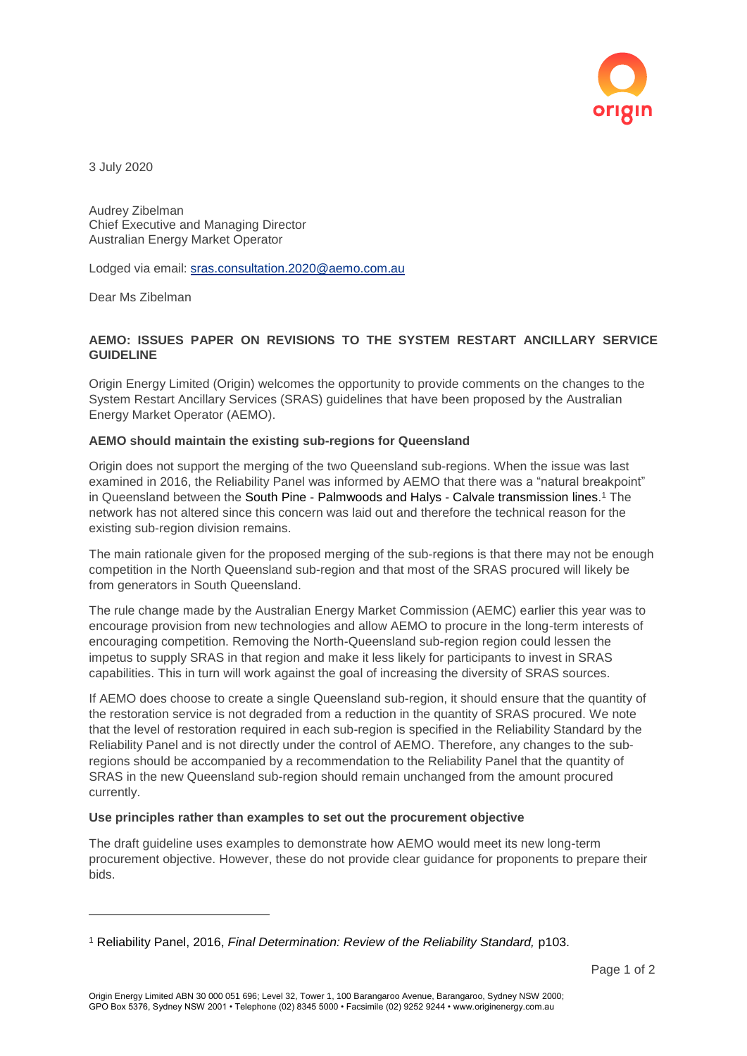

3 July 2020

Audrey Zibelman Chief Executive and Managing Director Australian Energy Market Operator

Lodged via email: [sras.consultation.2020@aemo.com.au](mailto:sras.consultation.2020@aemo.com.au)

Dear Ms Zibelman

l

# **AEMO: ISSUES PAPER ON REVISIONS TO THE SYSTEM RESTART ANCILLARY SERVICE GUIDELINE**

Origin Energy Limited (Origin) welcomes the opportunity to provide comments on the changes to the System Restart Ancillary Services (SRAS) guidelines that have been proposed by the Australian Energy Market Operator (AEMO).

### **AEMO should maintain the existing sub-regions for Queensland**

Origin does not support the merging of the two Queensland sub-regions. When the issue was last examined in 2016, the Reliability Panel was informed by AEMO that there was a "natural breakpoint" in Queensland between the South Pine - Palmwoods and Halys - Calvale transmission lines. <sup>1</sup> The network has not altered since this concern was laid out and therefore the technical reason for the existing sub-region division remains.

The main rationale given for the proposed merging of the sub-regions is that there may not be enough competition in the North Queensland sub-region and that most of the SRAS procured will likely be from generators in South Queensland.

The rule change made by the Australian Energy Market Commission (AEMC) earlier this year was to encourage provision from new technologies and allow AEMO to procure in the long-term interests of encouraging competition. Removing the North-Queensland sub-region region could lessen the impetus to supply SRAS in that region and make it less likely for participants to invest in SRAS capabilities. This in turn will work against the goal of increasing the diversity of SRAS sources.

If AEMO does choose to create a single Queensland sub-region, it should ensure that the quantity of the restoration service is not degraded from a reduction in the quantity of SRAS procured. We note that the level of restoration required in each sub-region is specified in the Reliability Standard by the Reliability Panel and is not directly under the control of AEMO. Therefore, any changes to the subregions should be accompanied by a recommendation to the Reliability Panel that the quantity of SRAS in the new Queensland sub-region should remain unchanged from the amount procured currently.

### **Use principles rather than examples to set out the procurement objective**

The draft guideline uses examples to demonstrate how AEMO would meet its new long-term procurement objective. However, these do not provide clear guidance for proponents to prepare their bids.

<sup>1</sup> Reliability Panel, 2016, *Final Determination: Review of the Reliability Standard,* p103.